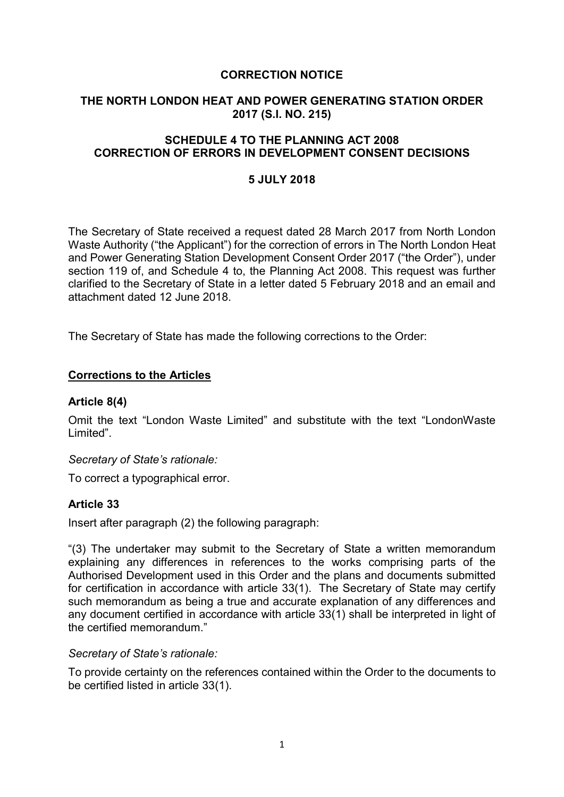### CORRECTION NOTICE

## THE NORTH LONDON HEAT AND POWER GENERATING STATION ORDER 2017 (S.I. NO. 215)

## SCHEDULE 4 TO THE PLANNING ACT 2008 CORRECTION OF ERRORS IN DEVELOPMENT CONSENT DECISIONS

#### 5 JULY 2018

The Secretary of State received a request dated 28 March 2017 from North London Waste Authority ("the Applicant") for the correction of errors in The North London Heat and Power Generating Station Development Consent Order 2017 ("the Order"), under section 119 of, and Schedule 4 to, the Planning Act 2008. This request was further clarified to the Secretary of State in a letter dated 5 February 2018 and an email and attachment dated 12 June 2018.

The Secretary of State has made the following corrections to the Order:

#### Corrections to the Articles

#### Article 8(4)

Omit the text "London Waste Limited" and substitute with the text "LondonWaste Limited".

#### Secretary of State's rationale:

To correct a typographical error.

### Article 33

Insert after paragraph (2) the following paragraph:

"(3) The undertaker may submit to the Secretary of State a written memorandum explaining any differences in references to the works comprising parts of the Authorised Development used in this Order and the plans and documents submitted for certification in accordance with article 33(1). The Secretary of State may certify such memorandum as being a true and accurate explanation of any differences and any document certified in accordance with article 33(1) shall be interpreted in light of the certified memorandum."

#### Secretary of State's rationale:

To provide certainty on the references contained within the Order to the documents to be certified listed in article 33(1).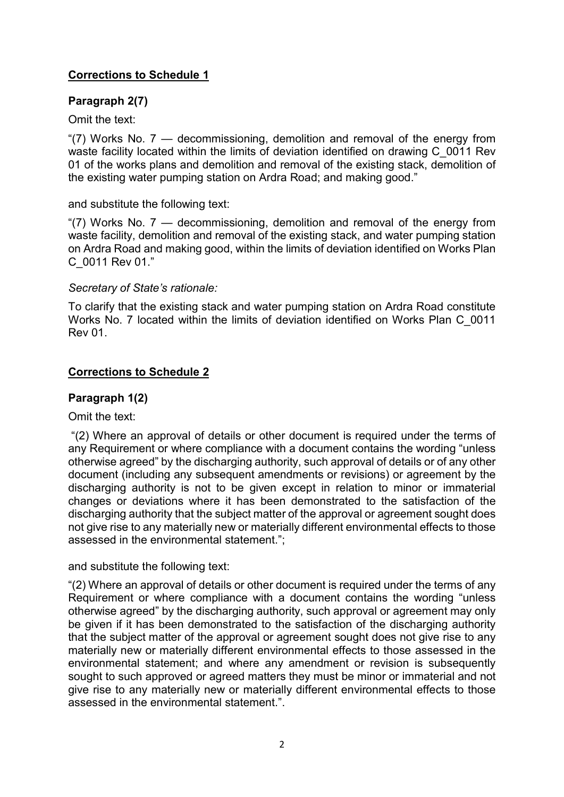# Corrections to Schedule 1

# Paragraph 2(7)

Omit the text:

"(7) Works No. 7 — decommissioning, demolition and removal of the energy from waste facility located within the limits of deviation identified on drawing C\_0011 Rev 01 of the works plans and demolition and removal of the existing stack, demolition of the existing water pumping station on Ardra Road; and making good."

## and substitute the following text:

"(7) Works No. 7 — decommissioning, demolition and removal of the energy from waste facility, demolition and removal of the existing stack, and water pumping station on Ardra Road and making good, within the limits of deviation identified on Works Plan C\_0011 Rev 01."

## Secretary of State's rationale:

To clarify that the existing stack and water pumping station on Ardra Road constitute Works No. 7 located within the limits of deviation identified on Works Plan C\_0011 Rev 01.

# Corrections to Schedule 2

# Paragraph 1(2)

Omit the text:

 "(2) Where an approval of details or other document is required under the terms of any Requirement or where compliance with a document contains the wording "unless otherwise agreed" by the discharging authority, such approval of details or of any other document (including any subsequent amendments or revisions) or agreement by the discharging authority is not to be given except in relation to minor or immaterial changes or deviations where it has been demonstrated to the satisfaction of the discharging authority that the subject matter of the approval or agreement sought does not give rise to any materially new or materially different environmental effects to those assessed in the environmental statement.";

and substitute the following text:

"(2) Where an approval of details or other document is required under the terms of any Requirement or where compliance with a document contains the wording "unless otherwise agreed" by the discharging authority, such approval or agreement may only be given if it has been demonstrated to the satisfaction of the discharging authority that the subject matter of the approval or agreement sought does not give rise to any materially new or materially different environmental effects to those assessed in the environmental statement; and where any amendment or revision is subsequently sought to such approved or agreed matters they must be minor or immaterial and not give rise to any materially new or materially different environmental effects to those assessed in the environmental statement."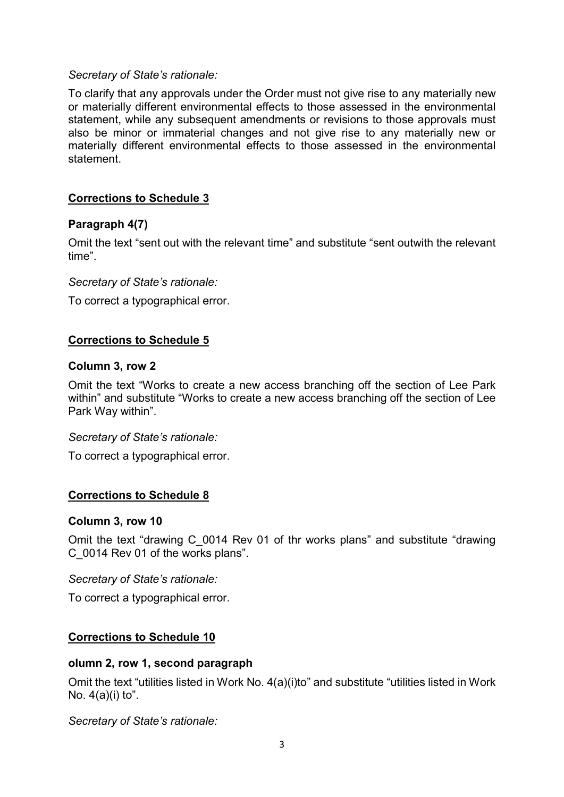### Secretary of State's rationale:

To clarify that any approvals under the Order must not give rise to any materially new or materially different environmental effects to those assessed in the environmental statement, while any subsequent amendments or revisions to those approvals must also be minor or immaterial changes and not give rise to any materially new or materially different environmental effects to those assessed in the environmental statement.

## Corrections to Schedule 3

### Paragraph 4(7)

Omit the text "sent out with the relevant time" and substitute "sent outwith the relevant time".

#### Secretary of State's rationale:

To correct a typographical error.

## Corrections to Schedule 5

#### Column 3, row 2

Omit the text "Works to create a new access branching off the section of Lee Park within" and substitute "Works to create a new access branching off the section of Lee Park Way within".

#### Secretary of State's rationale:

To correct a typographical error.

### Corrections to Schedule 8

### Column 3, row 10

Omit the text "drawing C\_0014 Rev 01 of thr works plans" and substitute "drawing C\_0014 Rev 01 of the works plans".

#### Secretary of State's rationale:

To correct a typographical error.

### Corrections to Schedule 10

#### olumn 2, row 1, second paragraph

Omit the text "utilities listed in Work No. 4(a)(i)to" and substitute "utilities listed in Work No.  $4(a)(i)$  to".

Secretary of State's rationale: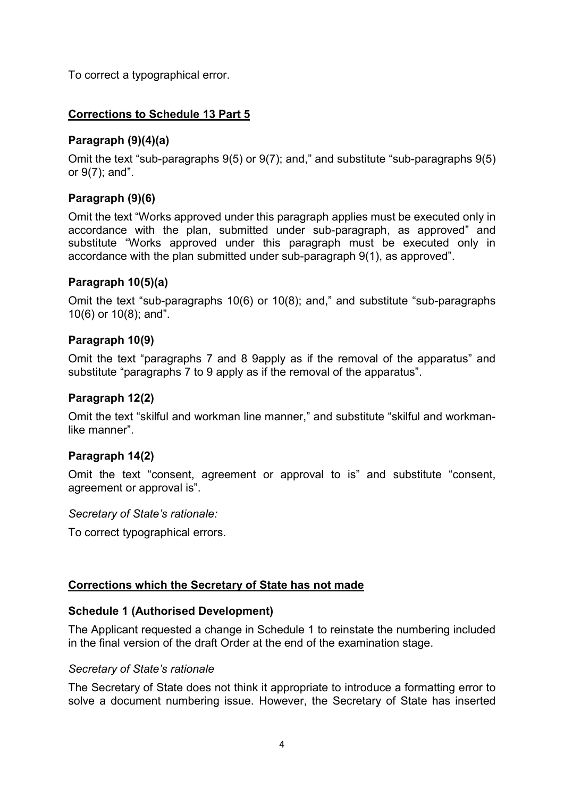To correct a typographical error.

# Corrections to Schedule 13 Part 5

# Paragraph (9)(4)(a)

Omit the text "sub-paragraphs 9(5) or 9(7); and," and substitute "sub-paragraphs 9(5) or 9(7); and".

# Paragraph (9)(6)

Omit the text "Works approved under this paragraph applies must be executed only in accordance with the plan, submitted under sub-paragraph, as approved" and substitute "Works approved under this paragraph must be executed only in accordance with the plan submitted under sub-paragraph 9(1), as approved".

## Paragraph 10(5)(a)

Omit the text "sub-paragraphs 10(6) or 10(8); and," and substitute "sub-paragraphs 10(6) or 10(8); and".

## Paragraph 10(9)

Omit the text "paragraphs 7 and 8 9apply as if the removal of the apparatus" and substitute "paragraphs 7 to 9 apply as if the removal of the apparatus".

### Paragraph 12(2)

Omit the text "skilful and workman line manner," and substitute "skilful and workmanlike manner".

# Paragraph 14(2)

Omit the text "consent, agreement or approval to is" and substitute "consent, agreement or approval is".

Secretary of State's rationale:

To correct typographical errors.

# Corrections which the Secretary of State has not made

### Schedule 1 (Authorised Development)

The Applicant requested a change in Schedule 1 to reinstate the numbering included in the final version of the draft Order at the end of the examination stage.

### Secretary of State's rationale

The Secretary of State does not think it appropriate to introduce a formatting error to solve a document numbering issue. However, the Secretary of State has inserted